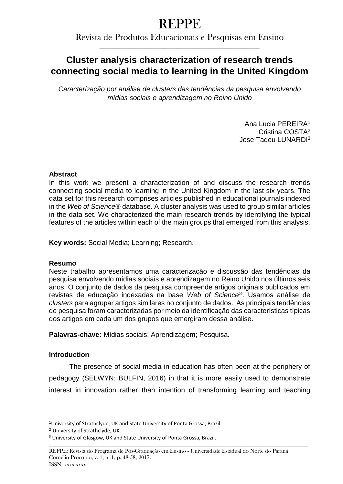# REPPE

Revista de Produtos Educacionais e Pesquisas em Ensino **\_\_\_\_\_\_\_\_\_\_\_\_\_\_\_\_\_\_\_\_\_\_\_\_\_\_\_\_\_\_\_\_\_\_\_\_\_\_\_\_\_\_\_\_\_\_\_\_\_\_**

# **Cluster analysis characterization of research trends connecting social media to learning in the United Kingdom**

*Caracterização por análise de clusters das tendências da pesquisa envolvendo mídias sociais e aprendizagem no Reino Unido*

> Ana Lucia PEREIRA<sup>1</sup> Cristina COSTA<sup>2</sup> Jose Tadeu LUNARDI<sup>3</sup>

# **Abstract**

In this work we present a characterization of and discuss the research trends connecting social media to learning in the United Kingdom in the last six years. The data set for this research comprises articles published in educational journals indexed in the *Web of Science®* database. A cluster analysis was used to group similar articles in the data set. We characterized the main research trends by identifying the typical features of the articles within each of the main groups that emerged from this analysis.

**Key words:** Social Media; Learning; Research.

### **Resumo**

Neste trabalho apresentamos uma caracterização e discussão das tendências da pesquisa envolvendo mídias sociais e aprendizagem no Reino Unido nos últimos seis anos. O conjunto de dados da pesquisa compreende artigos originais publicados em revistas de educação indexadas na base *Web of Science®*. Usamos análise de *clusters* para agrupar artigos similares no conjunto de dados. As principais tendências de pesquisa foram caracterizadas por meio da identificação das características típicas dos artigos em cada um dos grupos que emergiram dessa análise.

**Palavras-chave:** Mídias sociais; Aprendizagem; Pesquisa.

# **Introduction**

The presence of social media in education has often been at the periphery of pedagogy (SELWYN; BULFIN, 2016) in that it is more easily used to demonstrate interest in innovation rather than intention of transforming learning and teaching

**\_\_\_\_\_\_\_\_\_\_\_\_\_\_\_\_\_\_\_\_\_\_\_\_\_\_\_\_\_\_\_\_\_\_\_\_\_\_\_\_\_\_\_\_\_\_\_\_\_\_\_\_\_\_\_\_\_\_\_\_\_\_\_\_\_\_\_\_\_\_\_\_\_\_\_\_\_\_\_\_\_**

**<sup>.</sup>** <sup>1</sup>University of Strathclyde, UK and State University of Ponta Grossa, Brazil.

<sup>2</sup> University of Strathclyde, UK.

<sup>&</sup>lt;sup>3</sup> University of Glasgow, UK and State University of Ponta Grossa, Brazil.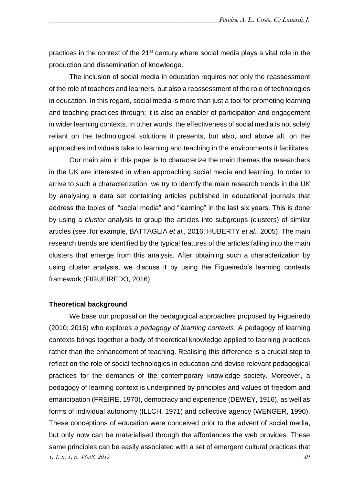practices in the context of the 21<sup>st</sup> century where social media plays a vital role in the production and dissemination of knowledge.

The inclusion of social media in education requires not only the reassessment of the role of teachers and learners, but also a reassessment of the role of technologies in education. In this regard, social media is more than just a tool for promoting learning and teaching practices through; it is also an enabler of participation and engagement in wider learning contexts. In other words, the effectiveness of social media is not solely reliant on the technological solutions it presents, but also, and above all, on the approaches individuals take to learning and teaching in the environments it facilitates.

Our main aim in this paper is to characterize the main themes the researchers in the UK are interested in when approaching social media and learning. In order to arrive to such a characterization, we try to identify the main research trends in the UK by analysing a data set containing articles published in educational journals that address the topics of "social media" and "learning" in the last six years. This is done by using a *cluster* analysis to group the articles into subgroups (clusters) of similar articles (see, for example, BATTAGLIA *et al.,* 2016; HUBERTY *et al.,* 2005). The main research trends are identified by the typical features of the articles falling into the main clusters that emerge from this analysis. After obtaining such a characterization by using cluster analysis, we discuss it by using the Figueiredo's learning contexts framework (FIGUEIREDO, 2016).

#### **Theoretical background**

v. 1, n. 1, p. 48-58, 2017 49 We base our proposal on the pedagogical approaches proposed by Figueiredo (2010; 2016) who explores *a pedagogy of learning contexts*. A pedagogy of learning contexts brings together a body of theoretical knowledge applied to learning practices rather than the enhancement of teaching. Realising this difference is a crucial step to reflect on the role of social technologies in education and devise relevant pedagogical practices for the demands of the contemporary knowledge society. Moreover, a pedagogy of learning context is underpinned by principles and values of freedom and emancipation (FREIRE, 1970), democracy and experience (DEWEY, 1916), as well as forms of individual autonomy (ILLCH, 1971) and collective agency (WENGER, 1990). These conceptions of education were conceived prior to the advent of social media, but only now can be materialised through the affordances the web provides. These same principles can be easily associated with a set of emergent cultural practices that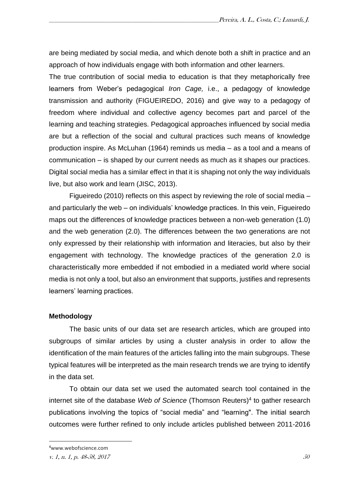are being mediated by social media, and which denote both a shift in practice and an approach of how individuals engage with both information and other learners.

The true contribution of social media to education is that they metaphorically free learners from Weber's pedagogical *Iron Cage,* i.e., a pedagogy of knowledge transmission and authority (FIGUEIREDO, 2016) and give way to a pedagogy of freedom where individual and collective agency becomes part and parcel of the learning and teaching strategies. Pedagogical approaches influenced by social media are but a reflection of the social and cultural practices such means of knowledge production inspire. As McLuhan (1964) reminds us media – as a tool and a means of communication – is shaped by our current needs as much as it shapes our practices. Digital social media has a similar effect in that it is shaping not only the way individuals live, but also work and learn (JISC, 2013).

Figueiredo (2010) reflects on this aspect by reviewing the role of social media – and particularly the web – on individuals' knowledge practices. In this vein, Figueiredo maps out the differences of knowledge practices between a non-web generation (1.0) and the web generation (2.0). The differences between the two generations are not only expressed by their relationship with information and literacies, but also by their engagement with technology. The knowledge practices of the generation 2.0 is characteristically more embedded if not embodied in a mediated world where social media is not only a tool, but also an environment that supports, justifies and represents learners' learning practices.

#### **Methodology**

The basic units of our data set are research articles, which are grouped into subgroups of similar articles by using a cluster analysis in order to allow the identification of the main features of the articles falling into the main subgroups. These typical features will be interpreted as the main research trends we are trying to identify in the data set.

To obtain our data set we used the automated search tool contained in the internet site of the database *Web of Science* (Thomson Reuters)<sup>4</sup> to gather research publications involving the topics of "social media" and "learning". The initial search outcomes were further refined to only include articles published between 2011-2016

**.** 

<sup>4</sup>www.webofscience.com

v. 1, n. 1, p. 48-58, 2017  $50$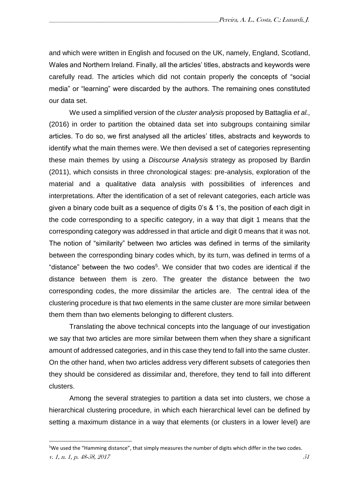and which were written in English and focused on the UK, namely, England, Scotland, Wales and Northern Ireland. Finally, all the articles' titles, abstracts and keywords were carefully read. The articles which did not contain properly the concepts of "social media" or "learning" were discarded by the authors. The remaining ones constituted our data set.

We used a simplified version of the *cluster analysis* proposed by Battaglia *et al.,* (2016) in order to partition the obtained data set into subgroups containing similar articles. To do so, we first analysed all the articles' titles, abstracts and keywords to identify what the main themes were. We then devised a set of categories representing these main themes by using a *Discourse Analysis* strategy as proposed by Bardin (2011), which consists in three chronological stages: pre-analysis, exploration of the material and a qualitative data analysis with possibilities of inferences and interpretations. After the identification of a set of relevant categories, each article was given a binary code built as a sequence of digits 0's & 1's, the position of each digit in the code corresponding to a specific category, in a way that digit 1 means that the corresponding category was addressed in that article and digit 0 means that it was not. The notion of "similarity" between two articles was defined in terms of the similarity between the corresponding binary codes which, by its turn, was defined in terms of a "distance" between the two codes<sup>5</sup>. We consider that two codes are identical if the distance between them is zero. The greater the distance between the two corresponding codes, the more dissimilar the articles are. The central idea of the clustering procedure is that two elements in the same cluster are more similar between them them than two elements belonging to different clusters.

Translating the above technical concepts into the language of our investigation we say that two articles are more similar between them when they share a significant amount of addressed categories, and in this case they tend to fall into the same cluster. On the other hand, when two articles address very different subsets of categories then they should be considered as dissimilar and, therefore, they tend to fall into different clusters.

Among the several strategies to partition a data set into clusters, we chose a hierarchical clustering procedure, in which each hierarchical level can be defined by setting a maximum distance in a way that elements (or clusters in a lower level) are

**.** 

v. 1, n. 1, p. 48-58, 2017  $51$ <sup>5</sup>We used the "Hamming distance", that simply measures the number of digits which differ in the two codes.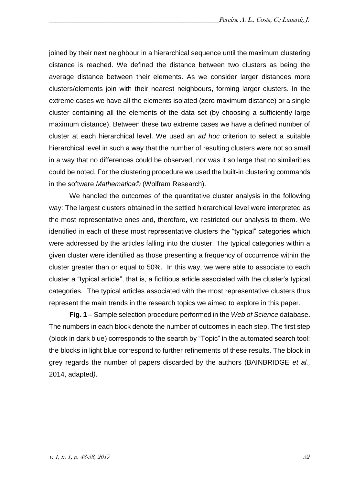joined by their next neighbour in a hierarchical sequence until the maximum clustering distance is reached. We defined the distance between two clusters as being the average distance between their elements. As we consider larger distances more clusters/elements join with their nearest neighbours, forming larger clusters. In the extreme cases we have all the elements isolated (zero maximum distance) or a single cluster containing all the elements of the data set (by choosing a sufficiently large maximum distance). Between these two extreme cases we have a defined number of cluster at each hierarchical level. We used an *ad hoc* criterion to select a suitable hierarchical level in such a way that the number of resulting clusters were not so small in a way that no differences could be observed, nor was it so large that no similarities could be noted. For the clustering procedure we used the built-in clustering commands in the software *Mathematica©* (Wolfram Research).

We handled the outcomes of the quantitative cluster analysis in the following way: The largest clusters obtained in the settled hierarchical level were interpreted as the most representative ones and, therefore, we restricted our analysis to them. We identified in each of these most representative clusters the "typical" categories which were addressed by the articles falling into the cluster. The typical categories within a given cluster were identified as those presenting a frequency of occurrence within the cluster greater than or equal to 50%. In this way, we were able to associate to each cluster a "typical article", that is, a fictitious article associated with the cluster's typical categories. The typical articles associated with the most representative clusters thus represent the main trends in the research topics we aimed to explore in this paper.

**Fig. 1** – Sample selection procedure performed in the *Web of Science* database. The numbers in each block denote the number of outcomes in each step. The first step (block in dark blue) corresponds to the search by "Topic" in the automated search tool; the blocks in light blue correspond to further refinements of these results. The block in grey regards the number of papers discarded by the authors (BAINBRIDGE *et al.,*  2014, adapted*)*.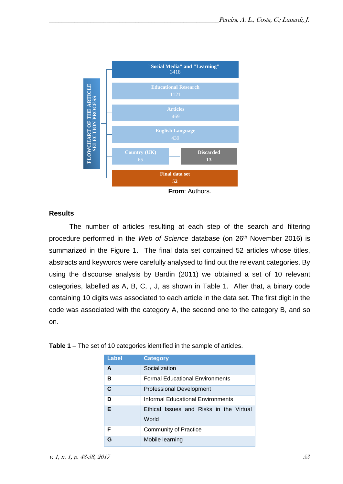

**From**: Authors.

#### **Results**

The number of articles resulting at each step of the search and filtering procedure performed in the *Web of Science* database (on 26th November 2016) is summarized in the Figure 1.The final data set contained 52 articles whose titles, abstracts and keywords were carefully analysed to find out the relevant categories. By using the discourse analysis by Bardin (2011) we obtained a set of 10 relevant categories, labelled as A, B, C, , J, as shown in Table 1. After that, a binary code containing 10 digits was associated to each article in the data set. The first digit in the code was associated with the category A, the second one to the category B, and so on.

| <b>Label</b> | <b>Category</b>                                  |  |  |  |  |  |  |  |  |  |
|--------------|--------------------------------------------------|--|--|--|--|--|--|--|--|--|
| A            | Socialization                                    |  |  |  |  |  |  |  |  |  |
| в            | <b>Formal Educational Environments</b>           |  |  |  |  |  |  |  |  |  |
| C            | <b>Professional Development</b>                  |  |  |  |  |  |  |  |  |  |
| D            | Informal Educational Environments                |  |  |  |  |  |  |  |  |  |
| Е            | Ethical Issues and Risks in the Virtual<br>World |  |  |  |  |  |  |  |  |  |
| F            | <b>Community of Practice</b>                     |  |  |  |  |  |  |  |  |  |
| Ր            | Mobile learning                                  |  |  |  |  |  |  |  |  |  |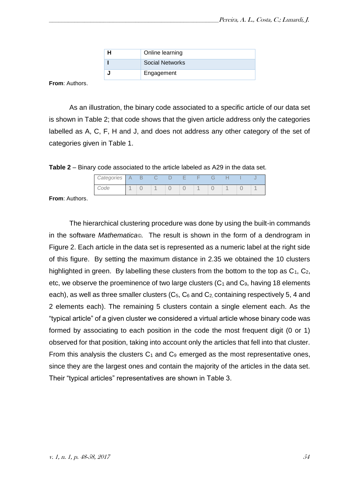|  | Online learning |
|--|-----------------|
|  | Social Networks |
|  | Engagement      |

**From**: Authors.

As an illustration, the binary code associated to a specific article of our data set is shown in Table 2; that code shows that the given article address only the categories labelled as A, C, F, H and J, and does not address any other category of the set of categories given in Table 1.

**Table 2** – Binary code associated to the article labeled as A29 in the data set.

| Categories |  |  | -<br>- | $\overline{ }$<br>- | $\overline{\phantom{a}}$ |  |  |
|------------|--|--|--------|---------------------|--------------------------|--|--|
| ode        |  |  |        |                     |                          |  |  |

**From**: Authors.

The hierarchical clustering procedure was done by using the built-in commands in the software *Mathematica©.* The result is shown in the form of a dendrogram in Figure 2. Each article in the data set is represented as a numeric label at the right side of this figure. By setting the maximum distance in 2.35 we obtained the 10 clusters highlighted in green. By labelling these clusters from the bottom to the top as  $C_1$ ,  $C_2$ , etc, we observe the proeminence of two large clusters  $(C_1$  and  $C_9$ , having 18 elements each), as well as three smaller clusters  $(C_5, C_6$  and  $C_2$  containing respectively 5, 4 and 2 elements each). The remaining 5 clusters contain a single element each. As the "typical article" of a given cluster we considered a virtual article whose binary code was formed by associating to each position in the code the most frequent digit (0 or 1) observed for that position, taking into account only the articles that fell into that cluster. From this analysis the clusters  $C_1$  and  $C_9$  emerged as the most representative ones, since they are the largest ones and contain the majority of the articles in the data set. Their "typical articles" representatives are shown in Table 3.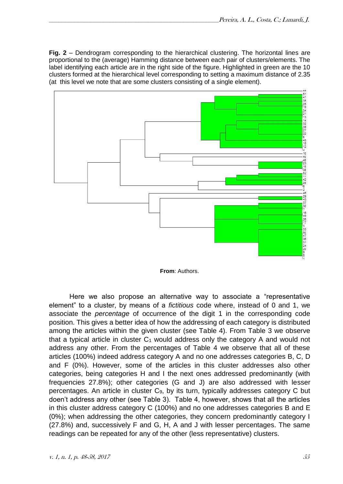**Fig. 2** – Dendrogram corresponding to the hierarchical clustering. The horizontal lines are proportional to the (average) Hamming distance between each pair of clusters/elements. The label identifying each article are in the right side of the figure. Highlighted in green are the 10 clusters formed at the hierarchical level corresponding to setting a maximum distance of 2.35 (at this level we note that are some clusters consisting of a single element).



**From**: Authors.

Here we also propose an alternative way to associate a "representative element" to a cluster, by means of a *fictitious* code where, instead of 0 and 1, we associate the *percentage* of occurrence of the digit 1 in the corresponding code position. This gives a better idea of how the addressing of each category is distributed among the articles within the given cluster (see Table 4). From Table 3 we observe that a typical article in cluster  $C_1$  would address only the category A and would not address any other. From the percentages of Table 4 we observe that all of these articles (100%) indeed address category A and no one addresses categories B, C, D and F (0%). However, some of the articles in this cluster addresses also other categories, being categories H and I the next ones addressed predominantly (with frequencies 27.8%); other categories (G and J) are also addressed with lesser percentages. An article in cluster C9, by its turn, typically addresses category C but doen't address any other (see Table 3). Table 4, however, shows that all the articles in this cluster address category C (100%) and no one addresses categories B and E (0%); when addressing the other categories, they concern predominantly category I (27.8%) and, successively F and G, H, A and J with lesser percentages. The same readings can be repeated for any of the other (less representative) clusters.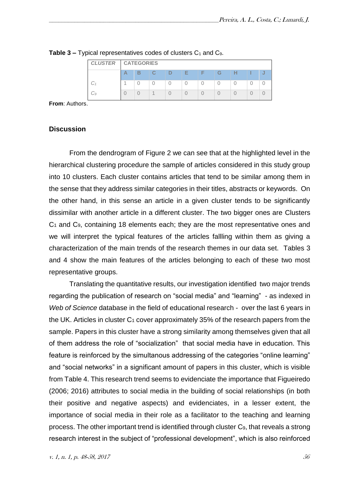|    | <b>CLUSTER</b>   CATEGORIES |   |   |   |   |   |  |  |  |  |
|----|-----------------------------|---|---|---|---|---|--|--|--|--|
|    | B                           | C | D | - | Е | G |  |  |  |  |
|    |                             |   |   |   |   |   |  |  |  |  |
| 9ب |                             |   |   |   |   |   |  |  |  |  |

**Table 3 –** Typical representatives codes of clusters C<sub>1</sub> and C<sub>9</sub>.

**From**: Authors.

#### **Discussion**

From the dendrogram of Figure 2 we can see that at the highlighted level in the hierarchical clustering procedure the sample of articles considered in this study group into 10 clusters. Each cluster contains articles that tend to be similar among them in the sense that they address similar categories in their titles, abstracts or keywords. On the other hand, in this sense an article in a given cluster tends to be significantly dissimilar with another article in a different cluster. The two bigger ones are Clusters C<sup>1</sup> and C9, containing 18 elements each; they are the most representative ones and we will interpret the typical features of the articles fallling within them as giving a characterization of the main trends of the research themes in our data set. Tables 3 and 4 show the main features of the articles belonging to each of these two most representative groups.

Translating the quantitative results, our investigation identified two major trends regarding the publication of research on "social media" and "learning" - as indexed in *Web of Science* database in the field of educational research *-* over the last 6 years in the UK. Articles in cluster  $C_1$  cover approximately 35% of the research papers from the sample. Papers in this cluster have a strong similarity among themselves given that all of them address the role of "socialization" that social media have in education. This feature is reinforced by the simultanous addressing of the categories "online learning" and "social networks" in a significant amount of papers in this cluster, which is visible from Table 4. This research trend seems to evidenciate the importance that Figueiredo (2006; 2016) attributes to social media in the building of social relationships (in both their positive and negative aspects) and evidenciates, in a lesser extent, the importance of social media in their role as a facilitator to the teaching and learning process. The other important trend is identified through cluster C9, that reveals a strong research interest in the subject of "professional development", which is also reinforced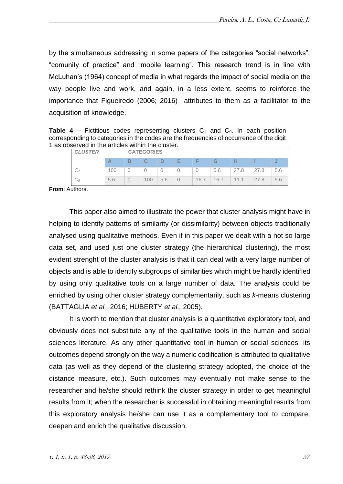by the simultaneous addressing in some papers of the categories "social networks", "comunity of practice" and "mobile learning". This research trend is in line with McLuhan's (1964) concept of media in what regards the impact of social media on the way people live and work, and again, in a less extent, seems to reinforce the importance that Figueiredo (2006; 2016) attributes to them as a facilitator to the acquisition of knowledge.

**Table 4 –** Fictitious codes representing clusters  $C_1$  and  $C_9$ . In each position corresponding to categories in the codes are the frequencies of occurrence of the digit 1 as observed in the articles within the cluster.

| <b>CLUSTER</b> | <b>CATEGORIES</b> |   |    |     |        |      |      |      |      |  |
|----------------|-------------------|---|----|-----|--------|------|------|------|------|--|
|                |                   | в |    | D   | ⊢<br>- | Е    | G    |      |      |  |
|                | 100               |   |    |     |        |      | 5.6  | 27.8 | 27.8 |  |
| 0 ب            | 5.6               |   | 00 | 5.6 |        | 16.7 | 16.7 | 11.1 | 27.8 |  |

**From**: Authors.

This paper also aimed to illustrate the power that cluster analysis might have in helping to identify patterns of similarity (or dissimilarity) between objects traditionally analysed using qualitative methods. Even if in this paper we dealt with a not so large data set, and used just one cluster strategy (the hierarchical clustering), the most evident strenght of the cluster analysis is that it can deal with a very large number of objects and is able to identify subgroups of similarities which might be hardly identified by using only qualitative tools on a large number of data. The analysis could be enriched by using other cluster strategy complementarily, such as *k*-means clustering (BATTAGLIA *et al.,* 2016; HUBERTY *et al.,* 2005).

It is worth to mention that cluster analysis is a quantitative exploratory tool, and obviously does not substitute any of the qualitative tools in the human and social sciences literature. As any other quantitative tool in human or social sciences, its outcomes depend strongly on the way a numeric codification is attributed to qualitative data (as well as they depend of the clustering strategy adopted, the choice of the distance measure, etc.). Such outcomes may eventually not make sense to the researcher and he/she should rethink the cluster strategy in order to get meaningful results from it; when the researcher is successful in obtaining meaningful results from this exploratory analysis he/she can use it as a complementary tool to compare, deepen and enrich the qualitative discussion.